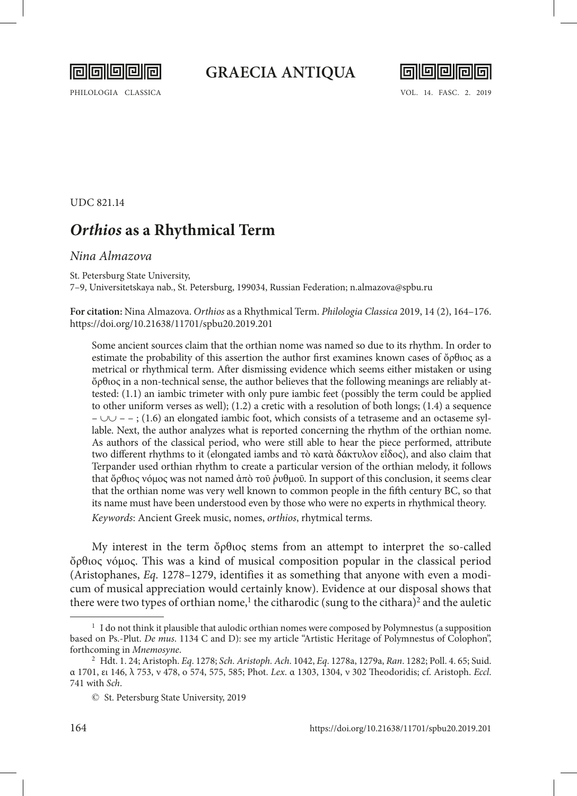

PHILOLOGIA CLASSICA VOL. 14. FASC. 2. 2019



UDC 821.14

## *Orthios* **as a Rhythmical Term**

## *Nina Almazova*

St. Petersburg State University,

7–9, Universitetskaya nab., St. Petersburg, 199034, Russian Federation; n.almazova@spbu.ru

**For citation:** Nina Almazova. *Orthios* as a Rhythmical Term. *Philologia Classica* 2019, 14 (2), 164–176. https://doi.org/10.21638/11701/spbu20.2019.201

Some ancient sources claim that the orthian nome was named so due to its rhythm. In order to estimate the probability of this assertion the author first examines known cases of ὄρθιος as a metrical or rhythmical term. After dismissing evidence which seems either mistaken or using ὄρθιος in a non-technical sense, the author believes that the following meanings are reliably attested: (1.1) an iambic trimeter with only pure iambic feet (possibly the term could be applied to other uniform verses as well); (1.2) a cretic with a resolution of both longs; (1.4) a sequence – ∪∪ – – ; (1.6) an elongated iambic foot, which consists of a tetraseme and an octaseme syllable. Next, the author analyzes what is reported concerning the rhythm of the orthian nome. As authors of the classical period, who were still able to hear the piece performed, attribute two different rhythms to it (elongated iambs and τὸ κατὰ δάκτυλον εἶδος), and also claim that Terpander used orthian rhythm to create a particular version of the orthian melody, it follows that ὄρθιος νόμος was not named ἀπὸ τοῦ ῥυθμοῦ. In support of this conclusion, it seems clear that the orthian nome was very well known to common people in the fifth century BC, so that its name must have been understood even by those who were no experts in rhythmical theory. *Keywords*: Ancient Greek music, nomes, *orthios*, rhytmical terms.

My interest in the term ὄρθιος stems from an attempt to interpret the so-called ὄρθιος νόμος. This was a kind of musical composition popular in the classical period (Aristophanes, *Eq*. 1278–1279, identifies it as something that anyone with even a modicum of musical appreciation would certainly know). Evidence at our disposal shows that there were two types of orthian nome,<sup>1</sup> the citharodic (sung to the cithara)<sup>2</sup> and the auletic

<sup>&</sup>lt;sup>1</sup> I do not think it plausible that aulodic orthian nomes were composed by Polymnestus (a supposition based on Ps.-Plut. *De mus*. 1134 C and D): see my article "Artistic Heritage of Polymnestus of Colophon", forthcoming in *Mnemosyne*.

<sup>2</sup> Hdt. 1. 24; Aristoph. *Eq*. 1278; *Sch. Aristoph. Ach*. 1042, *Eq*. 1278a, 1279a, *Ran*. 1282; Poll. 4. 65; Suid. α 1701, ει 146, λ 753, ν 478, ο 574, 575, 585; Phot. *Lex*. α 1303, 1304, ν 302 Theodoridis; cf. Aristoph. *Eccl*. 741 with *Sch*.

<sup>©</sup> St. Petersburg State University, 2019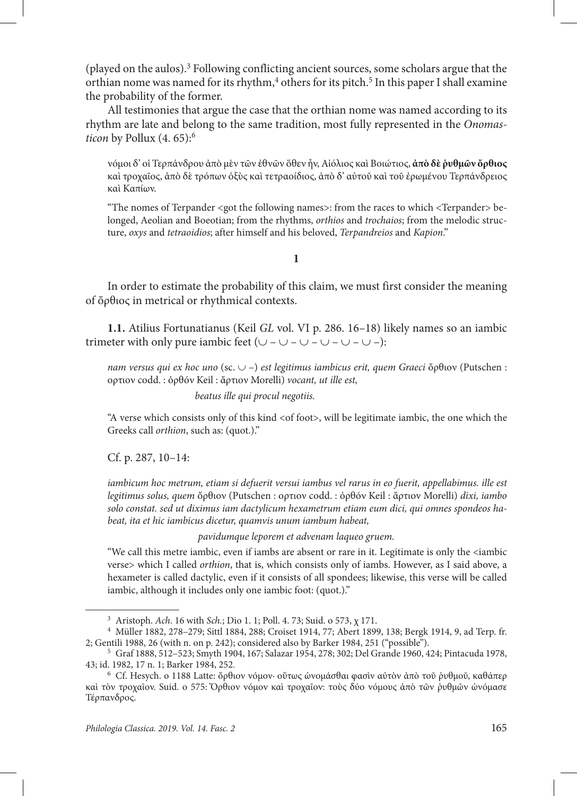(played on the aulos).<sup>3</sup> Following conflicting ancient sources, some scholars argue that the orthian nome was named for its rhythm,<sup>4</sup> others for its pitch.<sup>5</sup> In this paper I shall examine the probability of the former.

All testimonies that argue the case that the orthian nome was named according to its rhythm are late and belong to the same tradition, most fully represented in the *Onomasticon* by Pollux (4, 65):<sup>6</sup>

νόμοι δ' οἱ Τερπάνδρου ἀπὸ μὲν τῶν ἐθνῶν ὅθεν ἦν, Αἰόλιος καὶ Βοιώτιος, **ἀπὸ δὲ ῥυθμῶν ὄρθιος** καὶ τροχαῖος, ἀπὸ δὲ τρόπων ὀξὺς καὶ τετραοίδιος, ἀπὸ δ' αὐτοῦ καὶ τοῦ ἐρωμένου Τερπάνδρειος καὶ Καπίων.

"The nomes of Terpander <got the following names>: from the races to which <Terpander> belonged, Aeolian and Boeotian; from the rhythms, *orthios* and *trochaios*; from the melodic structure, *oxys* and *tetraoidios*; after himself and his beloved, *Terpandreios* and *Kapion*."

**1**

In order to estimate the probability of this claim, we must first consider the meaning of ὄρθιος in metrical or rhythmical contexts.

**1.1.** Atilius Fortunatianus (Keil *GL* vol. VI p. 286. 16–18) likely names so an iambic trimeter with only pure iambic feet  $(\cup - \cup - \cup - \cup - \cup -)$ :

*nam versus qui ex hoc uno* (sc. ∪ –) *est legitimus iambicus erit, quem Graeci* ὄρθιον (Putschen : ορτιον codd. : ὀρθόν Keil : ἄρτιον Morelli) *vocant, ut ille est,*

*beatus ille qui procul negotiis.*

"A verse which consists only of this kind <of foot>, will be legitimate iambic, the one which the Greeks call *orthion*, such as: (quot.)."

Cf. p. 287, 10–14:

*iambicum hoc metrum, etiam si defuerit versui iambus vel rarus in eo fuerit, appellabimus. ille est legitimus solus, quem* ὄρθιον (Putschen : ορτιον codd. : ὀρθόν Keil : ἄρτιον Morelli) *dixi, iambo solo constat. sed ut diximus iam dactylicum hexametrum etiam eum dici, qui omnes spondeos habeat, ita et hic iambicus dicetur, quamvis unum iambum habeat,*

*pavidumque leporem et advenam laqueo gruem.*

"We call this metre iambic, even if iambs are absent or rare in it. Legitimate is only the <iambic verse> which I called *orthion*, that is, which consists only of iambs. However, as I said above, a hexameter is called dactylic, even if it consists of all spondees; likewise, this verse will be called iambic, although it includes only one iambic foot: (quot.)."

<sup>3</sup> Aristoph. *Ach*. 16 with *Sch.*; Dio 1. 1; Poll. 4. 73; Suid. ο 573, χ 171.

<sup>4</sup> Müller 1882, 278–279; Sittl 1884, 288; Croiset 1914, 77; Abert 1899, 138; Bergk 1914, 9, ad Terp. fr. 2; Gentili 1988, 26 (with n. on p. 242); considered also by Barker 1984, 251 ("possible").

<sup>5</sup> Graf 1888, 512–523; Smyth 1904, 167; Salazar 1954, 278; 302; Del Grande 1960, 424; Pintacuda 1978, 43; id. 1982, 17 n. 1; Barker 1984, 252.

<sup>6</sup> Cf. Hesych. ο 1188 Latte: ὄρθιον νόμον· οὕτως ὠνομάσθαι φασὶν αὐτὸν ἀπὸ τοῦ ῥυθμοῦ, καθάπερ καὶ τὸν τροχαῖον. Suid. ο 575: Ὄρθιον νόμον καὶ τροχαῖον: τοὺς δύο νόμους ἀπὸ τῶν ῥυθμῶν ὠνόμασε Τέρπανδρος.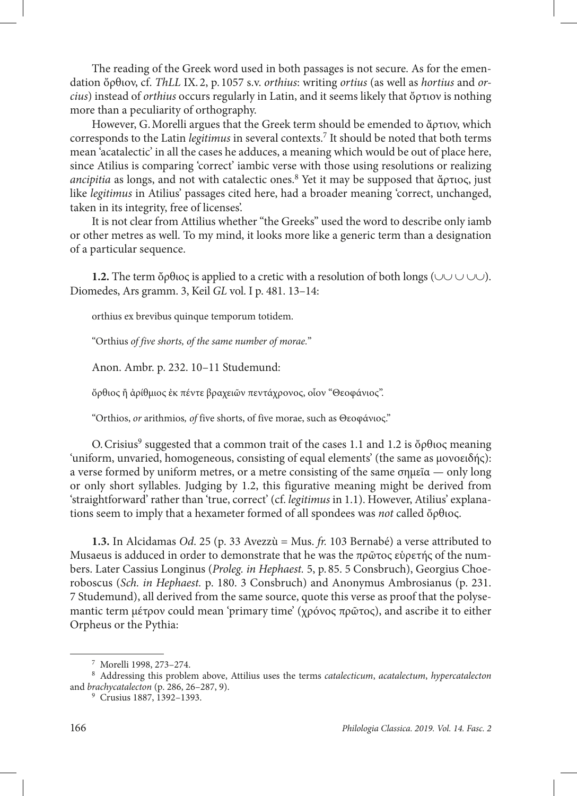The reading of the Greek word used in both passages is not secure. As for the emendation ὄρθιον, cf. *ThLL* IX. 2, p. 1057 s.v. *orthius*: writing *ortius* (as well as *hortius* and *orcius*) instead of *orthius* occurs regularly in Latin, and it seems likely that ὄρτιον is nothing more than a peculiarity of orthography.

However, G.Morelli argues that the Greek term should be emended to ἄρτιον, which corresponds to the Latin *legitimus* in several contexts.7 It should be noted that both terms mean 'acatalectic' in all the cases he adduces, a meaning which would be out of place here, since Atilius is comparing 'correct' iambic verse with those using resolutions or realizing *ancipitia* as longs, and not with catalectic ones.8 Yet it may be supposed that ἄρτιος, just like *legitimus* in Atilius' passages cited here, had a broader meaning 'correct, unchanged, taken in its integrity, free of licenses'.

It is not clear from Attilius whether "the Greeks" used the word to describe only iamb or other metres as well. To my mind, it looks more like a generic term than a designation of a particular sequence.

**1.2.** The term ὄρθιος is applied to a cretic with a resolution of both longs (∪∪∪∪∪). Diomedes, Ars gramm. 3, Keil *GL* vol. I p. 481. 13–14:

orthius ex brevibus quinque temporum totidem.

"Orthius *of five shorts, of the same number of morae.*"

Anon. Ambr. p. 232. 10–11 Studemund:

ὄρθιος ἢ ἀρίθμιος ἐκ πέντε βραχειῶν πεντάχρονος, οἷον "Θεοφάνιος".

"Orthios, *or* arithmios*, of* five shorts, of five morae, such as Θεοφάνιος."

O. Crisius<sup>9</sup> suggested that a common trait of the cases 1.1 and 1.2 is ὄρθιος meaning 'uniform, unvaried, homogeneous, consisting of equal elements' (the same as μονοειδής): a verse formed by uniform metres, or a metre consisting of the same σημεΐα — only long or only short syllables. Judging by 1.2, this figurative meaning might be derived from 'straightforward' rather than 'true, correct' (cf. *legitimus* in 1.1). However, Atilius' explanations seem to imply that a hexameter formed of all spondees was *not* called ὄρθιος.

**1.3.** In Alcidamas *Od*. 25 (p. 33 Avezzù = Mus. *fr.* 103 Bernabé) a verse attributed to Musaeus is adduced in order to demonstrate that he was the  $\pi \rho \tilde{\omega} \tau \tilde{\sigma}$  superfig of the numbers. Later Cassius Longinus (*Proleg. in Hephaest.* 5, p. 85. 5 Consbruch), Georgius Choeroboscus (*Sch. in Hephaest.* p. 180. 3 Consbruch) and Anonymus Ambrosianus (p. 231. 7 Studemund), all derived from the same source, quote this verse as proof that the polysemantic term μέτρον could mean 'primary time' (χρόνος πρῶτος), and ascribe it to either Orpheus or the Pythia:

<sup>7</sup> Morelli 1998, 273–274.

<sup>8</sup> Addressing this problem above, Attilius uses the terms *catalecticum*, *acatalectum*, *hypercatalecton* and *brachycatalecton* (p. 286, 26–287, 9).

<sup>&</sup>lt;sup>9</sup> Crusius 1887, 1392-1393.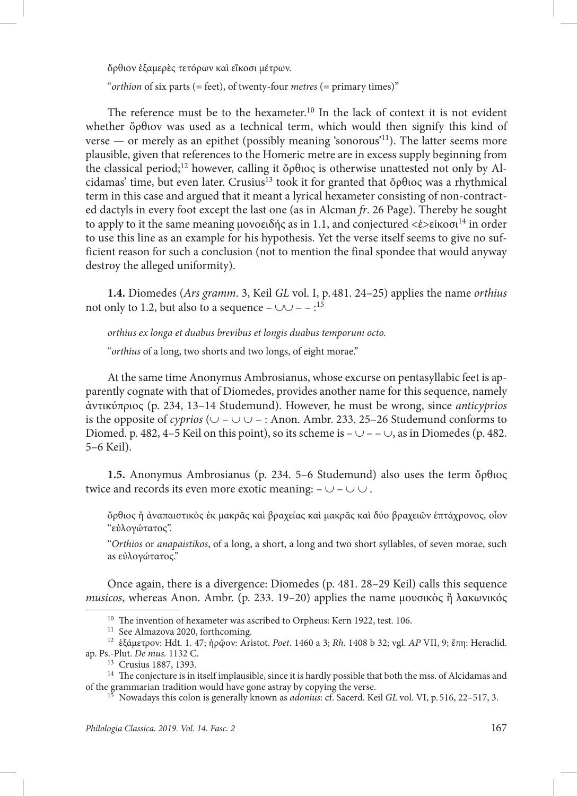ὄρθιον ἑξαμερὲς τετόρων καὶ εἴκοσι μέτρων.

"*orthion* of six parts (= feet), of twenty-four *metres* (= primary times)"

The reference must be to the hexameter.<sup>10</sup> In the lack of context it is not evident whether ὄρθιον was used as a technical term, which would then signify this kind of verse — or merely as an epithet (possibly meaning 'sonorous'<sup>11</sup>). The latter seems more plausible, given that references to the Homeric metre are in excess supply beginning from the classical period;<sup>12</sup> however, calling it ὄρθιος is otherwise unattested not only by Alcidamas' time, but even later. Crusius<sup>13</sup> took it for granted that ὄρθιος was a rhythmical term in this case and argued that it meant a lyrical hexameter consisting of non-contracted dactyls in every foot except the last one (as in Alcman *fr*. 26 Page). Thereby he sought to apply to it the same meaning μονοειδής as in 1.1, and conjectured  $\langle \dot{\epsilon} \rangle$ είκοσι<sup>14</sup> in order to use this line as an example for his hypothesis. Yet the verse itself seems to give no sufficient reason for such a conclusion (not to mention the final spondee that would anyway destroy the alleged uniformity).

**1.4.** Diomedes (*Ars gramm*. 3, Keil *GL* vol. I, p. 481. 24–25) applies the name *orthius* not only to 1.2, but also to a sequence –  $\cup$   $\cup$  –  $\cdot$ <sup>15</sup>

*orthius ex longa et duabus brevibus et longis duabus temporum octo.*

"*orthius* of a long, two shorts and two longs, of eight morae."

At the same time Anonymus Ambrosianus, whose excurse on pentasyllabic feet is apparently cognate with that of Diomedes, provides another name for this sequence, namely ἀντικύπριος (p. 234, 13–14 Studemund). However, he must be wrong, since *anticyprios* is the opposite of *cyprios* (∪ – ∪ ∪ – : Anon. Ambr. 233. 25–26 Studemund conforms to Diomed. p. 482, 4–5 Keil on this point), so its scheme is  $-\cup -\cup$ , as in Diomedes (p. 482. 5–6 Keil).

**1.5.** Anonymus Ambrosianus (p. 234. 5–6 Studemund) also uses the term ὄρθιος twice and records its even more exotic meaning:  $-\cup$  –  $\cup \cup$ .

ὄρθιος ἢ ἀναπαιστικὸς ἐκ μακρᾶς καὶ βραχείας καὶ μακρᾶς καὶ δύο βραχειῶν ἑπτάχρονος, οἷον "εὐλογώτατος".

"*Orthios* or *anapaistikos*, of a long, a short, a long and two short syllables, of seven morae, such as εὐλογώτατος."

Once again, there is a divergence: Diomedes (p. 481. 28–29 Keil) calls this sequence *musicos*, whereas Anon. Ambr. (p. 233. 19–20) applies the name μουσικὸς ἢ λακωνικός

<sup>&</sup>lt;sup>10</sup> The invention of hexameter was ascribed to Orpheus: Kern 1922, test. 106.

<sup>&</sup>lt;sup>11</sup> See Almazova 2020, forthcoming.

<sup>12</sup> ἑξάμετρον: Hdt. 1. 47; ἡρῷον: Aristot. *Poet*. 1460 a 3; *Rh*. 1408 b 32; vgl. *AP* VII, 9; ἔπη: Heraclid. ap. Ps.-Plut. *De mus.* 1132 C.

<sup>13</sup> Crusius 1887, 1393.

<sup>&</sup>lt;sup>14</sup> The conjecture is in itself implausible, since it is hardly possible that both the mss. of Alcidamas and of the grammarian tradition would have gone astray by copying the verse.

<sup>15</sup> Nowadays this colon is generally known as *adonius*: cf. Sacerd. Keil *GL* vol. VI, p. 516, 22–517, 3.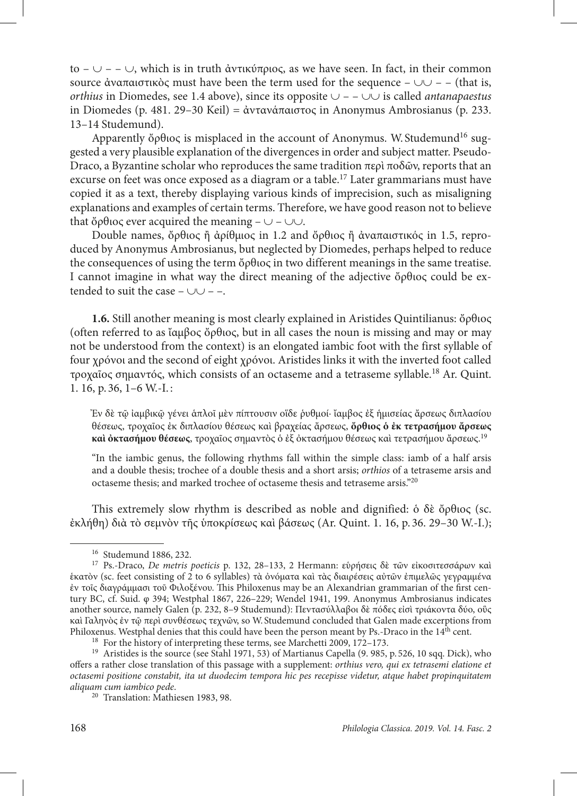to – ∪ – – ∪, which is in truth ἀντικύπριος, as we have seen. In fact, in their common source ἀναπαιστικὸς must have been the term used for the sequence –  $\cup \cup$  – – (that is, *orthius* in Diomedes, see 1.4 above), since its opposite ∪ – – ∪∪ is called *antanapaestus* in Diomedes (p. 481. 29–30 Keil) = ἀντανάπαιστος in Anonymus Ambrosianus (p. 233. 13–14 Studemund).

Apparently ὄρθιος is misplaced in the account of Anonymus. W. Studemund<sup>16</sup> suggested a very plausible explanation of the divergences in order and subject matter. Pseudo-Draco, a Byzantine scholar who reproduces the same tradition περὶ ποδῶν, reports that an excurse on feet was once exposed as a diagram or a table.<sup>17</sup> Later grammarians must have copied it as a text, thereby displaying various kinds of imprecision, such as misaligning explanations and examples of certain terms. Therefore, we have good reason not to believe that ὄρθιος ever acquired the meaning –  $\cup$  –  $\cup \cup$ .

Double names, ὄρθιος ἢ ἀρίθμιος in 1.2 and ὄρθιος ἢ ἀναπαιστικός in 1.5, reproduced by Anonymus Ambrosianus, but neglected by Diomedes, perhaps helped to reduce the consequences of using the term ὄρθιος in two different meanings in the same treatise. I cannot imagine in what way the direct meaning of the adjective ὄρθιος could be extended to suit the case –  $\cup \cup$  – –.

**1.6.** Still another meaning is most clearly explained in Aristides Quintilianus: ὄρθιος (often referred to as ἴαμβος ὄρθιος, but in all cases the noun is missing and may or may not be understood from the context) is an elongated iambic foot with the first syllable of four χρόνοι and the second of eight χρόνοι. Aristides links it with the inverted foot called τροχαῖος σημαντός, which consists of an octaseme and a tetraseme syllable.18 Ar. Quint. 1. 16, p. 36, 1–6 W.-I. :

Ἐν δὲ τῷ ἰαμβικῷ γένει ἁπλοῖ μὲν πίπτουσιν οἵδε ῥυθμοί· ἴαμβος ἐξ ἡμισείας ἄρσεως διπλασίου θέσεως, τροχαῖος ἐκ διπλασίου θέσεως καὶ βραχείας ἄρσεως, **ὄρθιος ὁ ἐκ τετρασήμου ἄρσεως καὶ ὀκτασήμου θέσεως**, τροχαῖος σημαντὸς ὁ ἐξ ὀκτασήμου θέσεως καὶ τετρασήμου ἄρσεως.19

"In the iambic genus, the following rhythms fall within the simple class: iamb of a half arsis and a double thesis; trochee of a double thesis and a short arsis; *orthios* of a tetraseme arsis and octaseme thesis; and marked trochee of octaseme thesis and tetraseme arsis."20

This extremely slow rhythm is described as noble and dignified: ὁ δὲ ὄρθιος (sc. ἐκλήθη) διὰ τὸ σεμνὸν τῆς ὑποκρίσεως καὶ βάσεως (Ar. Quint. 1. 16, p. 36. 29–30 W.-I.);

<sup>16</sup> Studemund 1886, 232.

<sup>17</sup> Ps.-Draco, *De metris poeticis* p. 132, 28–133, 2 Hermann: εὑρήσεις δὲ τῶν εἰκοσιτεσσάρων καὶ ἑκατὸν (sc. feet consisting of 2 to 6 syllables) τὰ ὀνόματα καὶ τὰς διαιρέσεις αὐτῶν ἐπιμελῶς γεγραμμένα ἐν τοῖς διαγράμμασι τοῦ Φιλοξένου. This Philoxenus may be an Alexandrian grammarian of the first century BC, cf. Suid. φ 394; Westphal 1867, 226–229; Wendel 1941, 199. Anonymus Ambrosianus indicates another source, namely Galen (p. 232, 8–9 Studemund): Πεντασύλλαβοι δὲ πόδες εἰσὶ τριάκοντα δύο, οὓς καὶ Γαληνὸς ἐν τῷ περὶ συνθέσεως τεχνῶν, so W. Studemund concluded that Galen made excerptions from Philoxenus. Westphal denies that this could have been the person meant by Ps.-Draco in the  $14<sup>th</sup>$  cent.

<sup>18</sup> For the history of interpreting these terms, see Marchetti 2009, 172–173.

<sup>&</sup>lt;sup>19</sup> Aristides is the source (see Stahl 1971, 53) of Martianus Capella (9. 985, p. 526, 10 sqq. Dick), who offers a rather close translation of this passage with a supplement: *orthius vero, qui ex tetrasemi elatione et octasemi positione constabit, ita ut duodecim tempora hic pes recepisse videtur, atque habet propinquitatem aliquam cum iambico pede*.

<sup>20</sup> Translation: Mathiesen 1983, 98.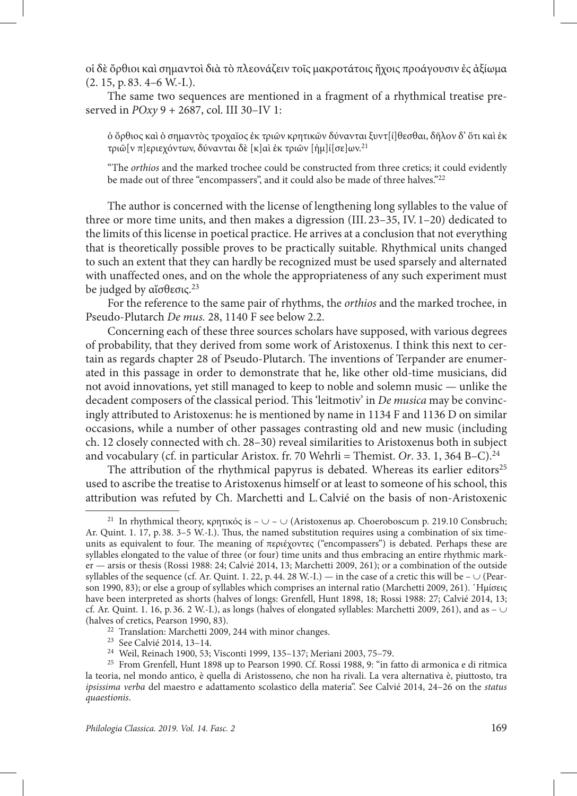οἱ δὲ ὄρθιοι καὶ σημαντοὶ διὰ τὸ πλεονάζειν τοῖς μακροτάτοις ἤχοις προάγουσιν ἐς ἀξίωμα (2. 15, p. 83. 4–6 W.-I.).

The same two sequences are mentioned in a fragment of a rhythmical treatise preserved in *POxy* 9 + 2687, col. III 30–IV 1:

ὁ ὄρθιος καὶ ὁ σημαντὸς τροχαῖος ἐκ τριῶν κρητικῶν δύνανται ξυντ[ί]θεσθαι, δῆλον δ' ὅτι καὶ ἐκ τριῶ[ν π]εριεχόντων, δύνανται δὲ [κ]αὶ ἐκ τριῶν [ἡμ]ί[σε]ων.21

"The *orthios* and the marked trochee could be constructed from three cretics; it could evidently be made out of three "encompassers", and it could also be made of three halves."<sup>22</sup>

The author is concerned with the license of lengthening long syllables to the value of three or more time units, and then makes a digression (III. 23–35, IV. 1–20) dedicated to the limits of this license in poetical practice. He arrives at a conclusion that not everything that is theoretically possible proves to be practically suitable. Rhythmical units changed to such an extent that they can hardly be recognized must be used sparsely and alternated with unaffected ones, and on the whole the appropriateness of any such experiment must be judged by αἴσθεσις.<sup>23</sup>

For the reference to the same pair of rhythms, the *orthios* and the marked trochee, in Pseudo-Plutarch *De mus.* 28, 1140 F see below 2.2.

Concerning each of these three sources scholars have supposed, with various degrees of probability, that they derived from some work of Aristoxenus. I think this next to certain as regards chapter 28 of Pseudo-Plutarch. The inventions of Terpander are enumerated in this passage in order to demonstrate that he, like other old-time musicians, did not avoid innovations, yet still managed to keep to noble and solemn music — unlike the decadent composers of the classical period. This 'leitmotiv' in *De musica* may be convincingly attributed to Aristoxenus: he is mentioned by name in 1134 F and 1136 D on similar occasions, while a number of other passages contrasting old and new music (including ch. 12 closely connected with ch. 28–30) reveal similarities to Aristoxenus both in subject and vocabulary (cf. in particular Aristox. fr. 70 Wehrli = Themist. Or. 33. 1, 364 B–C).<sup>24</sup>

The attribution of the rhythmical papyrus is debated. Whereas its earlier editors<sup>25</sup> used to ascribe the treatise to Aristoxenus himself or at least to someone of his school, this attribution was refuted by Ch. Marchetti and L.Calvié on the basis of non-Aristoxenic

<sup>&</sup>lt;sup>21</sup> In rhythmical theory, κρητικός is –  $\cup$  –  $\cup$  (Aristoxenus ap. Choeroboscum p. 219.10 Consbruch; Ar. Quint. 1. 17, p. 38. 3–5 W.-I.). Thus, the named substitution requires using a combination of six timeunits as equivalent to four. The meaning of περιέχοντες ("encompassers") is debated. Perhaps these are syllables elongated to the value of three (or four) time units and thus embracing an entire rhythmic marker — arsis or thesis (Rossi 1988: 24; Calvié 2014, 13; Marchetti 2009, 261); or a combination of the outside syllables of the sequence (cf. Ar. Quint. 1. 22, p. 44. 28 W.-I.) — in the case of a cretic this will be – ∪ (Pearson 1990, 83); or else a group of syllables which comprises an internal ratio (Marchetti 2009, 261). ῾Ημίσεις have been interpreted as shorts (halves of longs: Grenfell, Hunt 1898, 18; Rossi 1988: 27; Calvié 2014, 13; cf. Ar. Quint. 1. 16, p. 36. 2 W.-I.), as longs (halves of elongated syllables: Marchetti 2009, 261), and as –  $\cup$ (halves of cretics, Pearson 1990, 83).

<sup>&</sup>lt;sup>22</sup> Translation: Marchetti 2009, 244 with minor changes.<br><sup>23</sup> See Calvié 2014, 13-14.

<sup>&</sup>lt;sup>24</sup> Weil, Reinach 1900, 53; Visconti 1999, 135–137; Meriani 2003, 75–79.

<sup>25</sup> From Grenfell, Hunt 1898 up to Pearson 1990. Cf. Rossi 1988, 9: "in fatto di armonica e di ritmica la teoria, nel mondo antico, è quella di Aristosseno, che non ha rivali. La vera alternativa è, piuttosto, tra *ipsissima verba* del maestro e adattamento scolastico della materia". See Calvié 2014, 24–26 on the *status quaestionis*.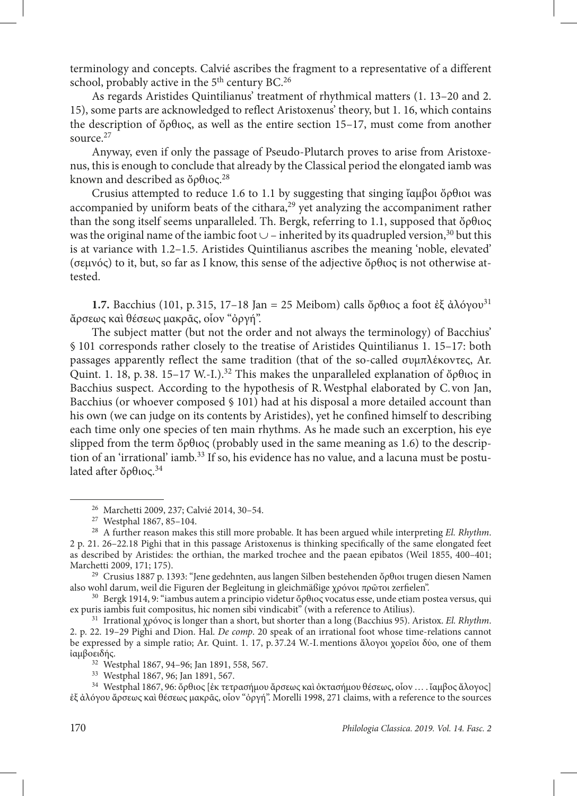terminology and concepts. Calvié ascribes the fragment to a representative of a different school, probably active in the 5<sup>th</sup> century BC.<sup>26</sup>

As regards Aristides Quintilianus' treatment of rhythmical matters (1. 13–20 and 2. 15), some parts are acknowledged to reflect Aristoxenus' theory, but 1. 16, which contains the description of ὄρθιος, as well as the entire section 15–17, must come from another source.27

Anyway, even if only the passage of Pseudo-Plutarch proves to arise from Aristoxenus, this is enough to conclude that already by the Classical period the elongated iamb was known and described as ὄρθιος.<sup>28</sup>

Crusius attempted to reduce 1.6 to 1.1 by suggesting that singing ἴαμβοι ὄρθιοι was accompanied by uniform beats of the cithara,<sup>29</sup> yet analyzing the accompaniment rather than the song itself seems unparalleled. Th. Bergk, referring to 1.1, supposed that ὄρθιος was the original name of the iambic foot  $\cup$  – inherited by its quadrupled version,<sup>30</sup> but this is at variance with 1.2–1.5. Aristides Quintilianus ascribes the meaning 'noble, elevated' (σεμνός) to it, but, so far as I know, this sense of the adjective ὄρθιος is not otherwise attested.

**1.7.** Bacchius (101, p. 315, 17–18 Jan = 25 Meibom) calls ὄρθιος a foot ἐξ ἀλόγου<sup>31</sup> ἄρσεως καὶ θέσεως μακρᾶς, οἷον "ὀργή".

The subject matter (but not the order and not always the terminology) of Bacchius' § 101 corresponds rather closely to the treatise of Aristides Quintilianus 1. 15–17: both passages apparently reflect the same tradition (that of the so-called συμπλέκοντες, Ar. Quint. 1. 18, p. 38. 15–17 W.-I.).<sup>32</sup> This makes the unparalleled explanation of ὄρθιος in Bacchius suspect. According to the hypothesis of R.Westphal elaborated by C. von Jan, Bacchius (or whoever composed § 101) had at his disposal a more detailed account than his own (we can judge on its contents by Aristides), yet he confined himself to describing each time only one species of ten main rhythms. As he made such an excerption, his eye slipped from the term ὄρθιος (probably used in the same meaning as 1.6) to the description of an 'irrational' iamb.<sup>33</sup> If so, his evidence has no value, and a lacuna must be postulated after ὄρθιος.34

<sup>26</sup> Marchetti 2009, 237; Calvié 2014, 30–54.

<sup>27</sup> Westphal 1867, 85–104.

<sup>28</sup> A further reason makes this still more probable. It has been argued while interpreting *El. Rhythm*. 2 p. 21. 26–22.18 Pighi that in this passage Aristoxenus is thinking specifically of the same elongated feet as described by Aristides: the orthian, the marked trochee and the paean epibatos (Weil 1855, 400–401;

<sup>&</sup>lt;sup>29</sup> Crusius 1887 p. 1393: "Jene gedehnten, aus langen Silben bestehenden ὄρθιοι trugen diesen Namen also wohl darum, weil die Figuren der Begleitung in gleichmäßige χρόνοι πρῶτοι zerfielen".

<sup>30</sup> Bergk 1914, 9: "iambus autem a principio videtur ὄρθιος vocatus esse, unde etiam postea versus, qui ex puris iambis fuit compositus, hic nomen sibi vindicabit" (with a reference to Atilius).

<sup>31</sup> Irrational χρόνος is longer than a short, but shorter than a long (Bacchius 95). Aristox. *El. Rhythm*. 2. p. 22. 19–29 Pighi and Dion. Hal. *De comp*. 20 speak of an irrational foot whose time-relations cannot be expressed by a simple ratio; Ar. Quint. 1. 17, p. 37.24 W.-I.mentions ἄλογοι χορεῖοι δύο, one of them ἰαμβοειδής.

<sup>32</sup> Westphal 1867, 94–96; Jan 1891, 558, 567.

<sup>33</sup> Westphal 1867, 96; Jan 1891, 567.

<sup>34</sup> Westphal 1867, 96: ὄρθιος [ἐκ τετρασήμου ἄρσεως καὶ ὀκτασήμου θέσεως, οἷον … . ἴαμβος ἄλογος] ἐξ ἀλόγου ἄρσεως καὶ θέσεως μακρᾶς, οἷον "ὀργή". Morelli 1998, 271 claims, with a reference to the sources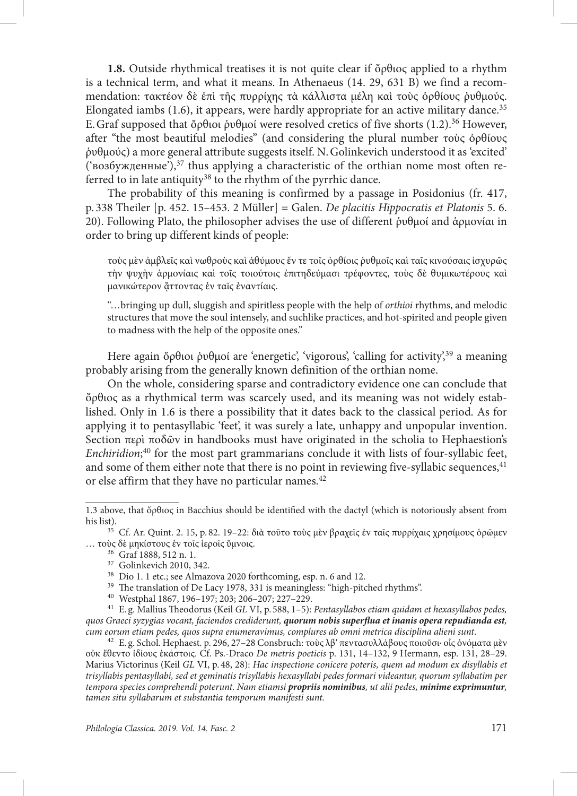**1.8.** Outside rhythmical treatises it is not quite clear if ὄρθιος applied to a rhythm is a technical term, and what it means. In Athenaeus (14. 29, 631 B) we find a recommendation: τακτέον δὲ ἐπὶ τῆς πυρρίχης τὰ κάλλιστα μέλη καὶ τοὺς ὀρθίους ῥυθμούς. Elongated iambs  $(1.6)$ , it appears, were hardly appropriate for an active military dance.<sup>35</sup> E. Graf supposed that ὄρθιοι ῥυθμοί were resolved cretics of five shorts (1.2).<sup>36</sup> However, after "the most beautiful melodies" (and considering the plural number τοὺς ὀρθίους ῥυθμούς) a more general attribute suggests itself. N.Golinkevich understood it as 'excited' ('возбужденные'), $37$  thus applying a characteristic of the orthian nome most often referred to in late antiquity<sup>38</sup> to the rhythm of the pyrrhic dance.

The probability of this meaning is confirmed by a passage in Posidonius (fr. 417, p. 338 Theiler [p. 452. 15–453. 2 Müller] = Galen. *De placitis Hippocratis et Platonis* 5. 6. 20). Following Plato, the philosopher advises the use of different ῥυθμοί and ἁρμονίαι in order to bring up different kinds of people:

τοὺς μὲν ἀμβλεῖς καὶ νωθροὺς καὶ ἀθύμους ἔν τε τοῖς ὀρθίοις ῥυθμοῖς καὶ ταῖς κινούσαις ἰσχυρῶς τὴν ψυχὴν ἁρμονίαις καὶ τοῖς τοιούτοις ἐπιτηδεύμασι τρέφοντες, τοὺς δὲ θυμικωτέρους καὶ μανικώτερον ἄττοντας έν ταΐς έναντίαις.

"…bringing up dull, sluggish and spiritless people with the help of *orthioi* rhythms, and melodic structures that move the soul intensely, and suchlike practices, and hot-spirited and people given to madness with the help of the opposite ones."

Here again ὄρθιοι ρυθμοί are 'energetic', 'vigorous', 'calling for activity',<sup>39</sup> a meaning probably arising from the generally known definition of the orthian nome.

On the whole, considering sparse and contradictory evidence one can conclude that ὄρθιος as a rhythmical term was scarcely used, and its meaning was not widely established. Only in 1.6 is there a possibility that it dates back to the classical period. As for applying it to pentasyllabic 'feet', it was surely a late, unhappy and unpopular invention. Section περὶ ποδῶν in handbooks must have originated in the scholia to Hephaestion's *Enchiridion*; 40 for the most part grammarians conclude it with lists of four-syllabic feet, and some of them either note that there is no point in reviewing five-syllabic sequences, $41$ or else affirm that they have no particular names.42

<sup>1.3</sup> above, that ὄρθιος in Bacchius should be identified with the dactyl (which is notoriously absent from his list).

<sup>&</sup>lt;sup>35</sup> Cf. Ar. Quint. 2. 15, p. 82. 19-22: διὰ τοῦτο τοὺς μὲν βραχεῖς ἐν ταῖς πυρρίχαις χρησίμους ὁρῶμεν … τοὺς δὲ μηκίστους ἐν τοῖς ἱεροῖς ὕμνοις.

<sup>36</sup> Graf 1888, 512 n. 1.

<sup>37</sup> Golinkevich 2010, 342.

<sup>38</sup> Dio 1. 1 etc.; see Almazova 2020 forthcoming, esp. n. 6 and 12.

<sup>&</sup>lt;sup>39</sup> The translation of De Lacy 1978, 331 is meaningless: "high-pitched rhythms".

<sup>40</sup> Westphal 1867, 196–197; 203; 206–207; 227–229.

<sup>41</sup> E. g. Mallius Theodorus (Keil *GL* VI, p. 588, 1–5): *Pentasyllabos etiam quidam et hexasyllabos pedes, quos Graeci syzygias vocant, faciendos crediderunt, quorum nobis superflua et inanis opera repudianda est, cum eorum etiam pedes, quos supra enumeravimus, complures ab omni metrica disciplina alieni sunt*.

<sup>&</sup>lt;sup>42</sup> E. g. Schol. Hephaest. p. 296, 27-28 Consbruch: τοὺς λβ' πεντασυλλάβους ποιοῦσι· οἶς ὀνόματα μὲν οὐκ ἔθεντο ἰδίους ἑκάστοις. Cf. Ps.-Draco *De metris poeticis* p. 131, 14–132, 9 Hermann, esp. 131, 28–29. Marius Victorinus (Keil *GL* VI, p. 48, 28): *Hac inspectione conicere poteris, quem ad modum ex disyllabis et trisyllabis pentasyllabi, sed et geminatis trisyllabis hexasyllabi pedes formari videantur, quorum syllabatim per tempora species comprehendi poterunt. Nam etiamsi propriis nominibus, ut alii pedes, minime exprimuntur, tamen situ syllabarum et substantia temporum manifesti sunt.*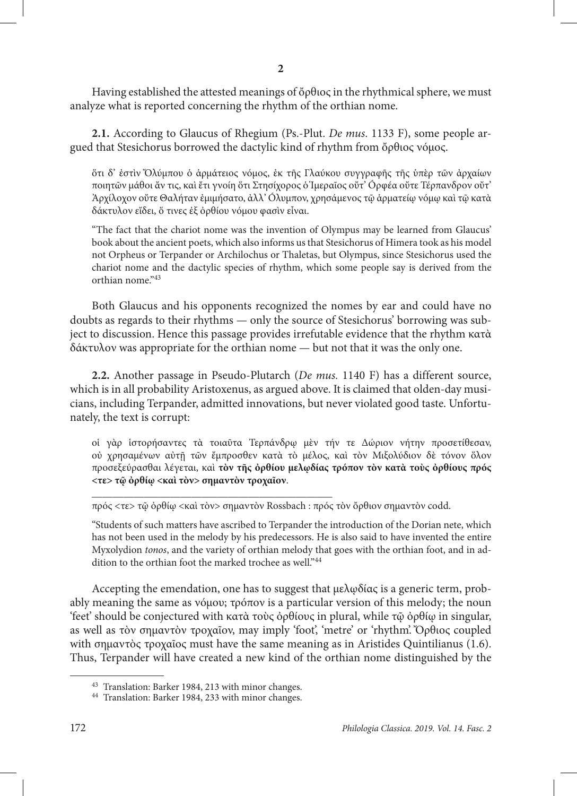Having established the attested meanings of ὄρθιος in the rhythmical sphere, we must analyze what is reported concerning the rhythm of the orthian nome.

**2.1.** According to Glaucus of Rhegium (Ps.-Plut. *De mus*. 1133 F), some people argued that Stesichorus borrowed the dactylic kind of rhythm from ὄρθιος νόμος.

ὅτι δ' ἐστὶν Ὄλύμπου ὁ ἁρμάτειος νόμος, ἐκ τῆς Γλαύκου συγγραφῆς τῆς ὑπὲρ τῶν ἀρχαίων ποιητῶν μάθοι ἄν τις, καὶ ἔτι γνοίη ὅτι Στησίχορος ὁ Ἱμεραῖος οὔτ' Óρφέα οὔτε Τέρπανδρον οὔτ' Ἀρχίλοχον οὔτε Θαλήταν ἐμιμήσατο, ἀλλ' Óλυμπον, χρησάμενος τῷ ἁρματείῳ νόμῳ καὶ τῷ κατὰ δάκτυλον εἴδει, ὅ τινες ἐξ ὀρθίου νόμου φασὶν εἶναι.

"The fact that the chariot nome was the invention of Olympus may be learned from Glaucus' book about the ancient poets, which also informs us that Stesichorus of Himera took as his model not Orpheus or Terpander or Archilochus or Thaletas, but Olympus, since Stesichorus used the chariot nome and the dactylic species of rhythm, which some people say is derived from the orthian nome."43

Both Glaucus and his opponents recognized the nomes by ear and could have no doubts as regards to their rhythms — only the source of Stesichorus' borrowing was subject to discussion. Hence this passage provides irrefutable evidence that the rhythm κατὰ δάκτυλον was appropriate for the orthian nome — but not that it was the only one.

**2.2.** Another passage in Pseudo-Plutarch (*De mus.* 1140 F) has a different source, which is in all probability Aristoxenus, as argued above. It is claimed that olden-day musicians, including Terpander, admitted innovations, but never violated good taste. Unfortunately, the text is corrupt:

οἱ γὰρ ἱστορήσαντες τὰ τοιαῦτα Τερπάνδρῳ μὲν τήν τε Δώριον νήτην προσετίθεσαν, οὐ χρησαμένων αὐτῇ τῶν ἔμπροσθεν κατὰ τὸ μέλος, καὶ τὸν Μιξολύδιον δὲ τόνον ὅλον προσεξεύρασθαι λέγεται, καὶ **τὸν τῆς ὀρθίου μελῳδίας τρόπον τὸν κατὰ τοὺς ὀρθίους πρός <τε> τῷ ὀρθίῳ <καὶ τὸν> σημαντὸν τροχαῖον**.

πρός <τε> τῷ ὀρθίῳ <καὶ τὸν> σημαντὸν Rossbach : πρός τὸν ὄρθιον σημαντὸν codd.

"Students of such matters have ascribed to Terpander the introduction of the Dorian nete, which has not been used in the melody by his predecessors. He is also said to have invented the entire Myxolydion *tonos*, and the variety of orthian melody that goes with the orthian foot, and in addition to the orthian foot the marked trochee as well."44

Accepting the emendation, one has to suggest that μελῳδίας is a generic term, probably meaning the same as νόμου; τρόπον is a particular version of this melody; the noun 'feet' should be conjectured with κατὰ τοὺς ὀρθίους in plural, while τῷ ὀρθίῳ in singular, as well as τὸν σημαντὸν τροχαῖον, may imply 'foot', 'metre' or 'rhythm'. Ὄρθιος coupled with σημαντὸς τροχαῖος must have the same meaning as in Aristides Quintilianus (1.6). Thus, Terpander will have created a new kind of the orthian nome distinguished by the

\_\_\_\_\_\_\_\_\_\_\_\_\_\_\_\_\_\_\_\_\_\_\_\_\_\_\_\_\_\_\_\_\_\_\_\_\_\_\_\_\_\_\_\_\_\_

<sup>43</sup> Translation: Barker 1984, 213 with minor changes.

<sup>44</sup> Translation: Barker 1984, 233 with minor changes.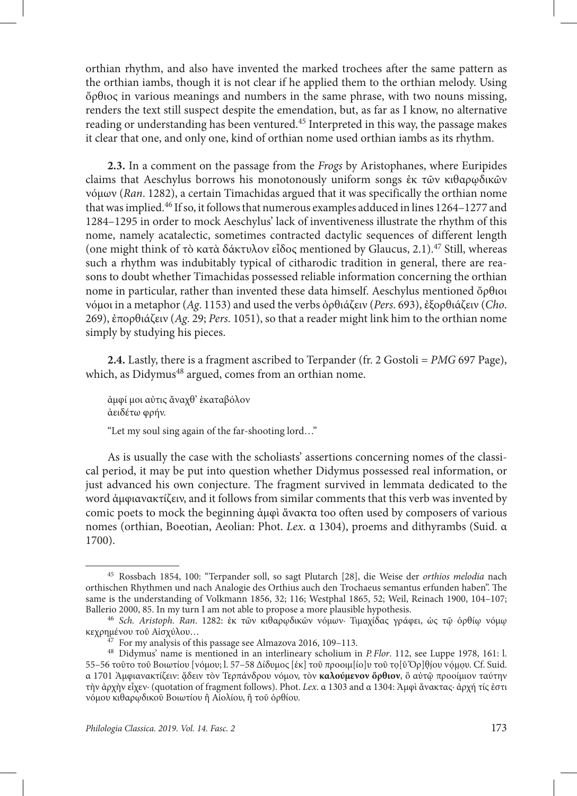orthian rhythm, and also have invented the marked trochees after the same pattern as the orthian iambs, though it is not clear if he applied them to the orthian melody. Using ὄρθιος in various meanings and numbers in the same phrase, with two nouns missing, renders the text still suspect despite the emendation, but, as far as I know, no alternative reading or understanding has been ventured.45 Interpreted in this way, the passage makes it clear that one, and only one, kind of orthian nome used orthian iambs as its rhythm.

**2.3.** In a comment on the passage from the *Frogs* by Aristophanes, where Euripides claims that Aeschylus borrows his monotonously uniform songs ἐκ τῶν κιθαρῳδικῶν νόμων (*Ran*. 1282), a certain Timachidas argued that it was specifically the orthian nome that was implied.46 If so, it follows that numerous examples adduced in lines 1264–1277 and 1284–1295 in order to mock Aeschylus' lack of inventiveness illustrate the rhythm of this nome, namely acatalectic, sometimes contracted dactylic sequences of different length (one might think of τὸ κατὰ δάκτυλον εἶδος mentioned by Glaucus, 2.1).47 Still, whereas such a rhythm was indubitably typical of citharodic tradition in general, there are reasons to doubt whether Timachidas possessed reliable information concerning the orthian nome in particular, rather than invented these data himself. Aeschylus mentioned ὄρθιοι νόμοι in a metaphor (*Ag*. 1153) and used the verbs ὀρθιάζειν (*Pers*. 693), ἐξορθιάζειν (*Cho*. 269), ἐπορθιάζειν (*Ag*. 29; *Pers*. 1051), so that a reader might link him to the orthian nome simply by studying his pieces.

**2.4.** Lastly, there is a fragment ascribed to Terpander (fr. 2 Gostoli = *PMG* 697 Page), which, as Didymus<sup>48</sup> argued, comes from an orthian nome.

ἀμφί μοι αὐτις ἄναχθ' ἑκαταβόλον ἀειδέτω φρήν.

"Let my soul sing again of the far-shooting lord…"

As is usually the case with the scholiasts' assertions concerning nomes of the classical period, it may be put into question whether Didymus possessed real information, or just advanced his own conjecture. The fragment survived in lemmata dedicated to the word ἀμφιανακτίζειν, and it follows from similar comments that this verb was invented by comic poets to mock the beginning ἀμφὶ ἄνακτα too often used by composers of various nomes (orthian, Boeotian, Aeolian: Phot. *Lex*. α 1304), proems and dithyrambs (Suid. α 1700).

<sup>45</sup> Rossbach 1854, 100: "Terpander soll, so sagt Plutarch [28], die Weise der *orthios melodia* nach orthischen Rhythmen und nach Analogie des Orthius auch den Trochaeus semantus erfunden haben". The same is the understanding of Volkmann 1856, 32; 116; Westphal 1865, 52; Weil, Reinach 1900, 104–107; Ballerio 2000, 85. In my turn I am not able to propose a more plausible hypothesis.

<sup>46</sup> *Sch. Aristoph. Ran*. 1282: ἐκ τῶν κιθαρῳδικῶν νόμων· Τιμαχίδας γράφει, ὡς τῷ ὀρθίῳ νόμῳ κεχρημένου τοῦ Αἰσχύλου…

 $47$  For my analysis of this passage see Almazova 2016, 109–113.

<sup>48</sup> Didymus' name is mentioned in an interlineary scholium in *P.Flor*. 112, see Luppe 1978, 161: l. 55–56 τοῦτο τοῦ Βοιωτίου [νόμου; l. 57–58 Δίδυμος [ἐκ] τοῦ προοιμ[ίο]υ τοῦ το [ῦ Ὀρ]θίου νόμου. Cf. Suid. α 1701 Ἀμφιανακτίζειν: ᾄδειν τὸν Τερπάνδρου νόμον, τὸν **καλούμενον ὄρθιον**, ὃ αὐτῷ προοίμιον ταύτην τὴν ἀρχὴν εἶχεν· (quotation of fragment follows). Phot. *Lex*. α 1303 and α 1304: Ἀμφὶ ἄνακτας· ἀρχή τίς ἐστι νόμου κιθαρῳδικοῦ Βοιωτίου ἢ Αἰολίου, ἢ τοῦ ὀρθίου.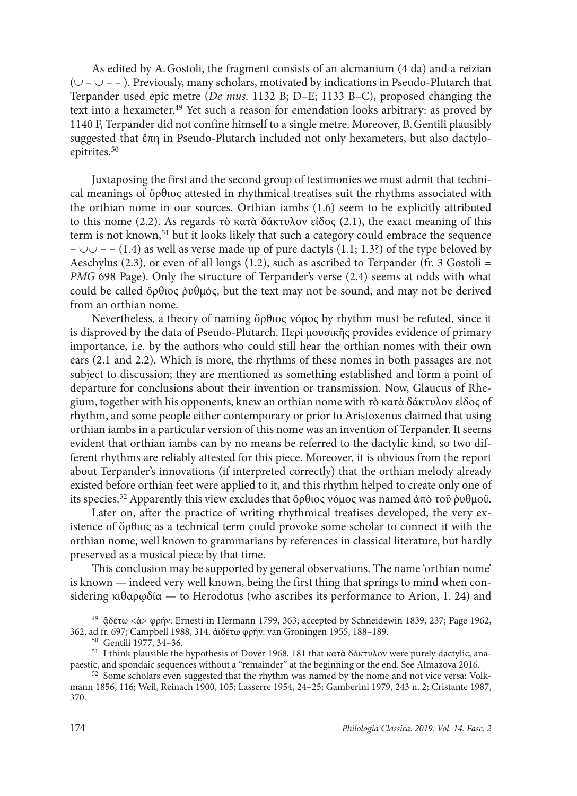As edited by A.Gostoli, the fragment consists of an alcmanium (4 da) and a reizian (∪ – ∪ – – ). Previously, many scholars, motivated by indications in Pseudo-Plutarch that Terpander used epic metre (*De mus*. 1132 B; D–E; 1133 B–С), proposed changing the text into a hexameter.49 Yet such a reason for emendation looks arbitrary: as proved by 1140 F, Terpander did not confine himself to a single metre. Moreover, B.Gentili plausibly suggested that ἔπη in Pseudo-Plutarch included not only hexameters, but also dactyloepitrites.50

Juxtaposing the first and the second group of testimonies we must admit that technical meanings of ὄρθιος attested in rhythmical treatises suit the rhythms associated with the orthian nome in our sources. Orthian iambs (1.6) seem to be explicitly attributed to this nome (2.2). As regards τὸ κατὰ δάκτυλον εἶδος (2.1), the exact meaning of this term is not known,51 but it looks likely that such a category could embrace the sequence –  $\cup$  – – (1.4) as well as verse made up of pure dactyls (1.1; 1.3?) of the type beloved by Aeschylus (2.3), or even of all longs (1.2), such as ascribed to Terpander (fr. 3 Gostoli = *PMG* 698 Page). Only the structure of Terpander's verse (2.4) seems at odds with what could be called ὄρθιος ῥυθμός, but the text may not be sound, and may not be derived from an orthian nome.

Nevertheless, a theory of naming ὄρθιος νόμος by rhythm must be refuted, since it is disproved by the data of Pseudo-Plutarch. Περὶ μουσικῆς provides evidence of primary importance, i.e. by the authors who could still hear the orthian nomes with their own ears (2.1 and 2.2). Which is more, the rhythms of these nomes in both passages are not subject to discussion; they are mentioned as something established and form a point of departure for conclusions about their invention or transmission. Now, Glaucus of Rhegium, together with his opponents, knew an orthian nome with τὸ κατὰ δάκτυλον εἶδος of rhythm, and some people either contemporary or prior to Aristoxenus claimed that using orthian iambs in a particular version of this nome was an invention of Terpander. It seems evident that orthian iambs can by no means be referred to the dactylic kind, so two different rhythms are reliably attested for this piece. Moreover, it is obvious from the report about Terpander's innovations (if interpreted correctly) that the orthian melody already existed before orthian feet were applied to it, and this rhythm helped to create only one of its species.<sup>52</sup> Apparently this view excludes that ὄρθιος νόμος was named ἀπὸ τοῦ ῥυθμοῦ.

Later on, after the practice of writing rhythmical treatises developed, the very existence of ὄρθιος as a technical term could provoke some scholar to connect it with the orthian nome, well known to grammarians by references in classical literature, but hardly preserved as a musical piece by that time.

This conclusion may be supported by general observations. The name 'orthian nome' is known — indeed very well known, being the first thing that springs to mind when considering κιθαρ $\omega$ δία — to Herodotus (who ascribes its performance to Arion, 1. 24) and

<sup>&</sup>lt;sup>49</sup> ἄδέτω <ά> φρήν: Ernesti in Hermann 1799, 363; accepted by Schneidewin 1839, 237; Page 1962, 362, ad fr. 697; Campbell 1988, 314. ἀϊδέτω φρήν: van Groningen 1955, 188–189.

<sup>50</sup> Gentili 1977, 34–36.

<sup>&</sup>lt;sup>51</sup> I think plausible the hypothesis of Dover 1968, 181 that κατὰ δάκτυλον were purely dactylic, anapaestic, and spondaic sequences without a "remainder" at the beginning or the end. See Almazova 2016.

<sup>&</sup>lt;sup>52</sup> Some scholars even suggested that the rhythm was named by the nome and not vice versa: Volkmann 1856, 116; Weil, Reinach 1900, 105; Lasserre 1954, 24–25; Gamberini 1979, 243 n. 2; Cristante 1987, 370.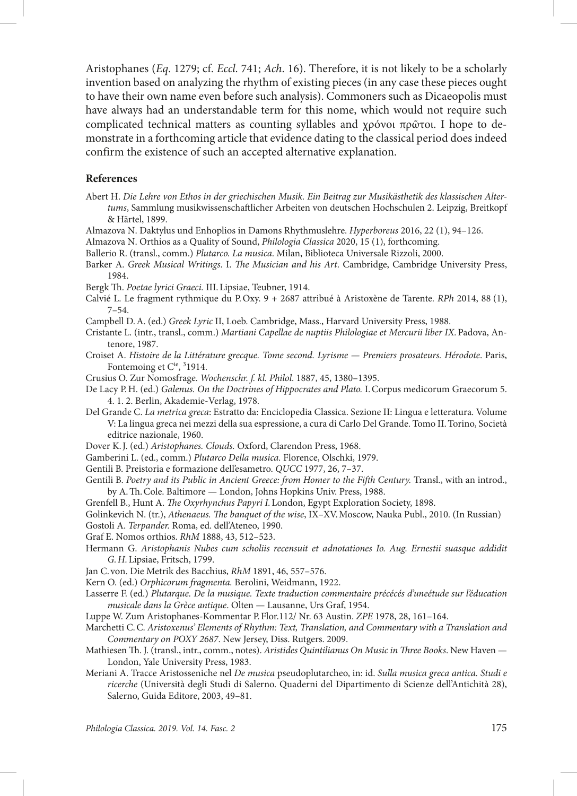Aristophanes (*Eq*. 1279; cf. *Eccl*. 741; *Ach*. 16). Therefore, it is not likely to be a scholarly invention based on analyzing the rhythm of existing pieces (in any case these pieces ought to have their own name even before such analysis). Commoners such as Dicaeopolis must have always had an understandable term for this nome, which would not require such complicated technical matters as counting syllables and χρόνοι πρῶτοι. I hope to demonstrate in a forthcoming article that evidence dating to the classical period does indeed confirm the existence of such an accepted alternative explanation.

## **References**

- Abert H. *Die Lehre von Ethos in der griechischen Musik. Ein Beitrag zur Musikästhetik des klassischen Altertums*, Sammlung musikwissenschaftlicher Arbeiten von deutschen Hochschulen 2. Leipzig, Breitkopf & Härtel, 1899.
- Almazova N. Daktylus und Enhoplios in Damons Rhythmuslehre. *Hyperboreus* 2016, 22 (1), 94–126.
- Almazova N. Orthios as a Quality of Sound, *Philologia Classica* 2020, 15 (1), forthcoming.
- Ballerio R. (transl., comm.) *Plutarco. La musica*. Milan, Biblioteca Universale Rizzoli, 2000.
- Barker A. *Greek Musical Writings*. I. *The Musician and his Art*. Cambridge, Cambridge University Press, 1984.
- Bergk Th. *Poetae lyrici Graeci.* III.Lipsiae, Teubner, 1914.
- Calvié L. Le fragment rythmique du P.Oxy. 9 + 2687 attribué à Aristoxène de Tarente. *RPh* 2014, 88 (1), 7–54.
- Campbell D.A. (ed.) *Greek Lyric* II, Loeb. Cambridge, Mass., Harvard University Press, 1988.
- Cristante L. (intr., transl., comm.) *Martiani Capellae de nuptiis Philologiae et Mercurii liber IX.*Padova, Antenore, 1987.
- Croiset A. *Histoire de la Littérature grecque. Tome second. Lyrisme Premiers prosateurs. Hérodote*. Paris, Fontemoing et C<sup>ie</sup>, <sup>3</sup>1914.
- Crusius O. Zur Nomosfrage. *Wochenschr. f. kl. Philol*. 1887, 45, 1380–1395.
- De Lacy P.H. (ed.) *Galenus. On the Doctrines of Hippocrates and Plato.* I.Corpus medicorum Graecorum 5. 4. 1. 2. Berlin, Akademie-Verlag, 1978.
- Del Grande C. *La metrica greca*: Estratto da: Enciclopedia Classica. Sezione II: Lingua e letteratura. Volume V: La lingua greca nei mezzi della sua espressione, a cura di Carlo Del Grande. Tomo II.Torino, Società editrice nazionale, 1960.
- Dover K.J. (ed.) *Aristophanes. Clouds.* Oxford, Clarendon Press, 1968.
- Gamberini L. (ed., comm.) *Plutarco Della musica.* Florence, Olschki, 1979.
- Gentili B. Preistoria e formazione dell'esametro. *QUCC* 1977, 26, 7–37.
- Gentili B. *Poetry and its Public in Ancient Greece: from Homer to the Fifth Century.* Transl., with an introd., by A.Th.Cole. Baltimore — London, Johns Hopkins Univ. Press, 1988.
- Grenfell B., Hunt A. *The Oxyrhynchus Papyri I.*London, Egypt Exploration Society, 1898.
- Golinkevich N. (tr.), *Athenaeus. The banquet of the wise*, IX–XV.Moscow, Nauka Publ., 2010. (In Russian)
- Gostoli A. *Terpander.* Roma, ed. dell'Ateneo, 1990.
- Graf E. Nomos orthios. *RhM* 1888, 43, 512–523.
- Hermann G. *Aristophanis Nubes cum scholiis recensuit et adnotationes Io. Aug. Ernestii suasque addidit G.H.*Lipsiae, Fritsch, 1799.
- Jan С. von. Die Metrik des Bacchius, *RhM* 1891, 46, 557–576.
- Kern O. (ed.) *Orphicorum fragmenta.* Berolini, Weidmann, 1922.
- Lasserre F. (ed.) *Plutarque. De la musique. Texte traduction commentaire précécés d'uneétude sur l'éducation musicale dans la Grèce antique*. Olten — Lausanne, Urs Graf, 1954.
- Luppe W. Zum Aristophanes-Kommentar P.Flor.112/ Nr. 63 Austin. *ZPE* 1978, 28, 161–164.
- Marchetti C.C. *Aristoxenus' Elements of Rhythm: Text, Translation, and Commentary with a Translation and Commentary on POXY 2687*. New Jersey, Diss. Rutgers. 2009.
- Mathiesen Th. J. (transl., intr., comm., notes). *Aristides Quintilianus On Music in Three Books*. New Haven London, Yale University Press, 1983.
- Meriani A. Tracce Aristosseniche nel *De musica* pseudoplutarcheo, in: id. *Sulla musica greca antica. Studi e ricerche* (Università degli Studi di Salerno. Quaderni del Dipartimento di Scienze dell'Antichità 28), Salerno, Guida Editore, 2003, 49–81.